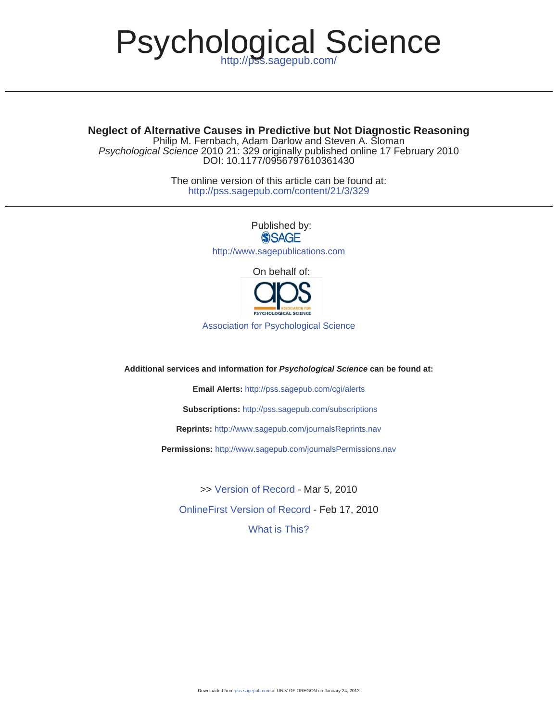# Psychological Science

DOI: 10.1177/0956797610361430 *Psychological Science* 2010 21: 329 originally published online 17 February 2010 Philip M. Fernbach, Adam Darlow and Steven A. Sloman **Neglect of Alternative Causes in Predictive but Not Diagnostic Reasoning**

> http://pss.sagepub.com/content/21/3/329 The online version of this article can be found at:

> > Published by:<br>
> > SAGE http://www.sagepublications.com On behalf of:



Association for Psychological Science

**Additional services and information for** *Psychological Science* **can be found at:**

**Email Alerts:** http://pss.sagepub.com/cgi/alerts

**Subscriptions:** http://pss.sagepub.com/subscriptions

**Reprints:** http://www.sagepub.com/journalsReprints.nav

**Permissions:** http://www.sagepub.com/journalsPermissions.nav

>> Version of Record - Mar 5, 2010

OnlineFirst Version of Record - Feb 17, 2010

What is This?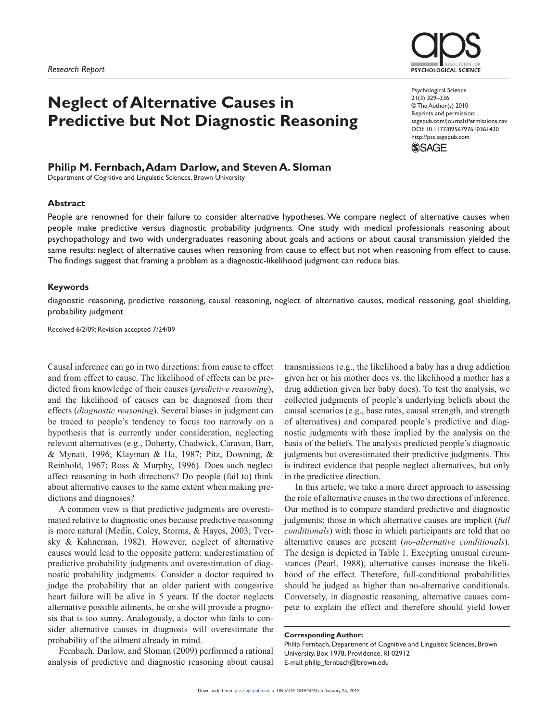

# **Neglect of Alternative Causes in Predictive but Not Diagnostic Reasoning**

# **Philip M. Fernbach, Adam Darlow, and Steven A. Sloman**

Department of Cognitive and Linguistic Sciences, Brown University

#### **Abstract**

Psychological Science 21(3) 329 –336 © The Author(s) 2010 Reprints and permission: sagepub.com/journalsPermissions.nav DOI: 10.1177/0956797610361430 http://pss.sagepub.com



People are renowned for their failure to consider alternative hypotheses. We compare neglect of alternative causes when people make predictive versus diagnostic probability judgments. One study with medical professionals reasoning about psychopathology and two with undergraduates reasoning about goals and actions or about causal transmission yielded the same results: neglect of alternative causes when reasoning from cause to effect but not when reasoning from effect to cause. The findings suggest that framing a problem as a diagnostic-likelihood judgment can reduce bias.

#### **Keywords**

diagnostic reasoning, predictive reasoning, causal reasoning, neglect of alternative causes, medical reasoning, goal shielding, probability judgment

Received 6/2/09; Revision accepted 7/24/09

Causal inference can go in two directions: from cause to effect and from effect to cause. The likelihood of effects can be predicted from knowledge of their causes (*predictive reasoning*), and the likelihood of causes can be diagnosed from their effects (*diagnostic reasoning*). Several biases in judgment can be traced to people's tendency to focus too narrowly on a hypothesis that is currently under consideration, neglecting relevant alternatives (e.g., Doherty, Chadwick, Caravan, Barr, & Mynatt, 1996; Klayman & Ha, 1987; Pitz, Downing, & Reinhold, 1967; Ross & Murphy, 1996). Does such neglect affect reasoning in both directions? Do people (fail to) think about alternative causes to the same extent when making predictions and diagnoses?

A common view is that predictive judgments are overestimated relative to diagnostic ones because predictive reasoning is more natural (Medin, Coley, Storms, & Hayes, 2003; Tversky & Kahneman, 1982). However, neglect of alternative causes would lead to the opposite pattern: underestimation of predictive probability judgments and overestimation of diagnostic probability judgments. Consider a doctor required to judge the probability that an older patient with congestive heart failure will be alive in 5 years. If the doctor neglects alternative possible ailments, he or she will provide a prognosis that is too sunny. Analogously, a doctor who fails to consider alternative causes in diagnosis will overestimate the probability of the ailment already in mind.

Fernbach, Darlow, and Sloman (2009) performed a rational analysis of predictive and diagnostic reasoning about causal

transmissions (e.g., the likelihood a baby has a drug addiction given her or his mother does vs. the likelihood a mother has a drug addiction given her baby does). To test the analysis, we collected judgments of people's underlying beliefs about the causal scenarios (e.g., base rates, causal strength, and strength of alternatives) and compared people's predictive and diagnostic judgments with those implied by the analysis on the basis of the beliefs. The analysis predicted people's diagnostic judgments but overestimated their predictive judgments. This is indirect evidence that people neglect alternatives, but only in the predictive direction.

In this article, we take a more direct approach to assessing the role of alternative causes in the two directions of inference. Our method is to compare standard predictive and diagnostic judgments: those in which alternative causes are implicit (*full conditionals*) with those in which participants are told that no alternative causes are present (*no-alternative conditionals*). The design is depicted in Table 1. Excepting unusual circumstances (Pearl, 1988), alternative causes increase the likelihood of the effect. Therefore, full-conditional probabilities should be judged as higher than no-alternative conditionals. Conversely, in diagnostic reasoning, alternative causes compete to explain the effect and therefore should yield lower

#### **Corresponding Author:**

Philip Fernbach, Department of Cognitive and Linguistic Sciences, Brown University, Box 1978, Providence, RI 02912 E-mail: philip\_fernbach@brown.edu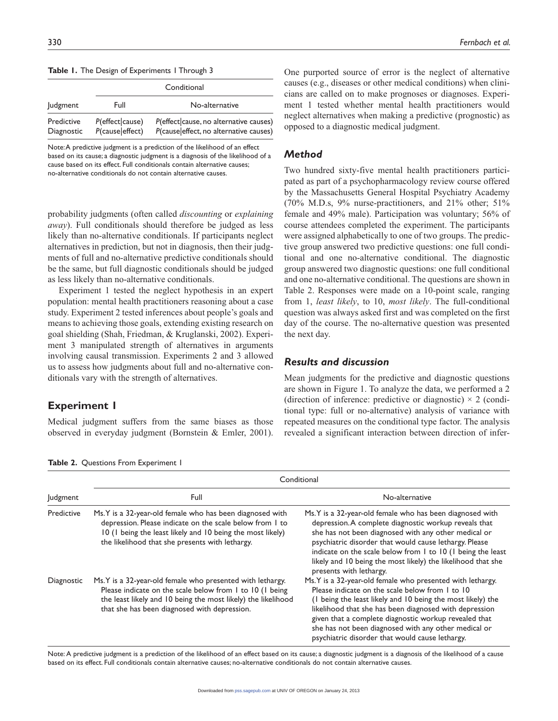|  |  |  |  |  | Table 1. The Design of Experiments I Through 3 |  |  |
|--|--|--|--|--|------------------------------------------------|--|--|
|--|--|--|--|--|------------------------------------------------|--|--|

|                          | Conditional                        |                                                                                  |  |
|--------------------------|------------------------------------|----------------------------------------------------------------------------------|--|
| <b>Judgment</b>          | Full                               | No-alternative                                                                   |  |
| Predictive<br>Diagnostic | P(effect cause)<br>P(cause effect) | P(effect cause, no alternative causes)<br>P(cause effect, no alternative causes) |  |

Note: A predictive judgment is a prediction of the likelihood of an effect based on its cause; a diagnostic judgment is a diagnosis of the likelihood of a cause based on its effect. Full conditionals contain alternative causes; no-alternative conditionals do not contain alternative causes.

probability judgments (often called *discounting* or *explaining away*). Full conditionals should therefore be judged as less likely than no-alternative conditionals. If participants neglect alternatives in prediction, but not in diagnosis, then their judgments of full and no-alternative predictive conditionals should be the same, but full diagnostic conditionals should be judged as less likely than no-alternative conditionals.

Experiment 1 tested the neglect hypothesis in an expert population: mental health practitioners reasoning about a case study. Experiment 2 tested inferences about people's goals and means to achieving those goals, extending existing research on goal shielding (Shah, Friedman, & Kruglanski, 2002). Experiment 3 manipulated strength of alternatives in arguments involving causal transmission. Experiments 2 and 3 allowed us to assess how judgments about full and no-alternative conditionals vary with the strength of alternatives.

# **Experiment 1**

**Table 2.** Questions From Experiment 1

Medical judgment suffers from the same biases as those observed in everyday judgment (Bornstein & Emler, 2001).

One purported source of error is the neglect of alternative causes (e.g., diseases or other medical conditions) when clinicians are called on to make prognoses or diagnoses. Experiment 1 tested whether mental health practitioners would neglect alternatives when making a predictive (prognostic) as opposed to a diagnostic medical judgment.

## *Method*

Two hundred sixty-five mental health practitioners participated as part of a psychopharmacology review course offered by the Massachusetts General Hospital Psychiatry Academy (70% M.D.s, 9% nurse-practitioners, and 21% other; 51% female and 49% male). Participation was voluntary; 56% of course attendees completed the experiment. The participants were assigned alphabetically to one of two groups. The predictive group answered two predictive questions: one full conditional and one no-alternative conditional. The diagnostic group answered two diagnostic questions: one full conditional and one no-alternative conditional. The questions are shown in Table 2. Responses were made on a 10-point scale, ranging from 1, *least likely*, to 10, *most likely*. The full-conditional question was always asked first and was completed on the first day of the course. The no-alternative question was presented the next day.

#### *Results and discussion*

Mean judgments for the predictive and diagnostic questions are shown in Figure 1. To analyze the data, we performed a 2 (direction of inference: predictive or diagnostic)  $\times$  2 (conditional type: full or no-alternative) analysis of variance with repeated measures on the conditional type factor. The analysis revealed a significant interaction between direction of infer-

|                 | Conditional                                                                                                                                                                                                                            |                                                                                                                                                                                                                                                                                                                                                                                                            |  |  |  |
|-----------------|----------------------------------------------------------------------------------------------------------------------------------------------------------------------------------------------------------------------------------------|------------------------------------------------------------------------------------------------------------------------------------------------------------------------------------------------------------------------------------------------------------------------------------------------------------------------------------------------------------------------------------------------------------|--|--|--|
| <b>Judgment</b> | Full                                                                                                                                                                                                                                   | No-alternative                                                                                                                                                                                                                                                                                                                                                                                             |  |  |  |
| Predictive      | Ms. Y is a 32-year-old female who has been diagnosed with<br>depression. Please indicate on the scale below from 1 to<br>10 (1 being the least likely and 10 being the most likely)<br>the likelihood that she presents with lethargy. | Ms. Y is a 32-year-old female who has been diagnosed with<br>depression. A complete diagnostic workup reveals that<br>she has not been diagnosed with any other medical or<br>psychiatric disorder that would cause lethargy. Please<br>indicate on the scale below from 1 to 10 (1 being the least<br>likely and 10 being the most likely) the likelihood that she<br>presents with lethargy.             |  |  |  |
| Diagnostic      | Ms.Y is a 32-year-old female who presented with lethargy.<br>Please indicate on the scale below from 1 to 10 (1 being<br>the least likely and 10 being the most likely) the likelihood<br>that she has been diagnosed with depression. | Ms. Y is a 32-year-old female who presented with lethargy.<br>Please indicate on the scale below from 1 to 10<br>(I being the least likely and 10 being the most likely) the<br>likelihood that she has been diagnosed with depression<br>given that a complete diagnostic workup revealed that<br>she has not been diagnosed with any other medical or<br>psychiatric disorder that would cause lethargy. |  |  |  |

Note: A predictive judgment is a prediction of the likelihood of an effect based on its cause; a diagnostic judgment is a diagnosis of the likelihood of a cause based on its effect. Full conditionals contain alternative causes; no-alternative conditionals do not contain alternative causes.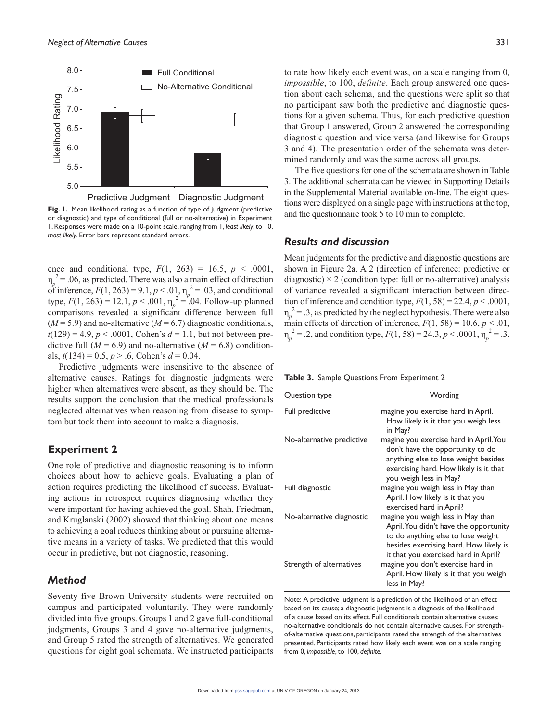

**Fig. 1.** Mean likelihood rating as a function of type of judgment (predictive or diagnostic) and type of conditional (full or no-alternative) in Experiment 1. Responses were made on a 10-point scale, ranging from 1, *least likely*, to 10, *most likely*. Error bars represent standard errors.

ence and conditional type,  $F(1, 263) = 16.5$ ,  $p < .0001$ ,  $\eta_p^2$  = .06, as predicted. There was also a main effect of direction of inference,  $F(1, 263) = 9.1, p < .01, \eta_p^2 = .03$ , and conditional type,  $F(1, 263) = 12.1, p < .001, \eta_p^2 = .04$ . Follow-up planned comparisons revealed a significant difference between full  $(M=5.9)$  and no-alternative  $(M=6.7)$  diagnostic conditionals,  $t(129) = 4.9, p < .0001,$  Cohen's  $d = 1.1$ , but not between predictive full  $(M = 6.9)$  and no-alternative  $(M = 6.8)$  conditionals,  $t(134) = 0.5$ ,  $p > .6$ , Cohen's  $d = 0.04$ .

Predictive judgments were insensitive to the absence of alternative causes. Ratings for diagnostic judgments were higher when alternatives were absent, as they should be. The results support the conclusion that the medical professionals neglected alternatives when reasoning from disease to symptom but took them into account to make a diagnosis.

# **Experiment 2**

One role of predictive and diagnostic reasoning is to inform choices about how to achieve goals. Evaluating a plan of action requires predicting the likelihood of success. Evaluating actions in retrospect requires diagnosing whether they were important for having achieved the goal. Shah, Friedman, and Kruglanski (2002) showed that thinking about one means to achieving a goal reduces thinking about or pursuing alternative means in a variety of tasks. We predicted that this would occur in predictive, but not diagnostic, reasoning.

# *Method*

Seventy-five Brown University students were recruited on campus and participated voluntarily. They were randomly divided into five groups. Groups 1 and 2 gave full-conditional judgments, Groups 3 and 4 gave no-alternative judgments, and Group 5 rated the strength of alternatives. We generated questions for eight goal schemata. We instructed participants to rate how likely each event was, on a scale ranging from 0, *impossible*, to 100, *definite*. Each group answered one question about each schema, and the questions were split so that no participant saw both the predictive and diagnostic questions for a given schema. Thus, for each predictive question that Group 1 answered, Group 2 answered the corresponding diagnostic question and vice versa (and likewise for Groups 3 and 4). The presentation order of the schemata was determined randomly and was the same across all groups.

The five questions for one of the schemata are shown in Table 3. The additional schemata can be viewed in Supporting Details in the Supplemental Material available on-line. The eight questions were displayed on a single page with instructions at the top, and the questionnaire took 5 to 10 min to complete.

#### *Results and discussion*

Mean judgments for the predictive and diagnostic questions are shown in Figure 2a. A 2 (direction of inference: predictive or diagnostic)  $\times$  2 (condition type: full or no-alternative) analysis of variance revealed a significant interaction between direction of inference and condition type,  $F(1, 58) = 22.4$ ,  $p < .0001$ ,  $\eta_p^2 = 0.3$ , as predicted by the neglect hypothesis. There were also main effects of direction of inference,  $F(1, 58) = 10.6, p < .01$ ,  $\eta_p^2 = .2$ , and condition type,  $F(1, 58) = 24.3$ ,  $p < .0001$ ,  $\eta_p^2 = .3$ .

**Table 3.** Sample Questions From Experiment 2

| Question type             | Wording                                                                                                                                                                                              |
|---------------------------|------------------------------------------------------------------------------------------------------------------------------------------------------------------------------------------------------|
| Full predictive           | Imagine you exercise hard in April.<br>How likely is it that you weigh less<br>in May?                                                                                                               |
| No-alternative predictive | Imagine you exercise hard in April. You<br>don't have the opportunity to do<br>anything else to lose weight besides<br>exercising hard. How likely is it that<br>you weigh less in May?              |
| Full diagnostic           | Imagine you weigh less in May than<br>April. How likely is it that you<br>exercised hard in April?                                                                                                   |
| No-alternative diagnostic | Imagine you weigh less in May than<br>April. You didn't have the opportunity<br>to do anything else to lose weight<br>besides exercising hard. How likely is<br>it that you exercised hard in April? |
| Strength of alternatives  | Imagine you don't exercise hard in<br>April. How likely is it that you weigh<br>less in May?                                                                                                         |

Note: A predictive judgment is a prediction of the likelihood of an effect based on its cause; a diagnostic judgment is a diagnosis of the likelihood of a cause based on its effect. Full conditionals contain alternative causes; no-alternative conditionals do not contain alternative causes. For strengthof-alternative questions, participants rated the strength of the alternatives presented. Participants rated how likely each event was on a scale ranging from 0, *impossible*, to 100, *definite*.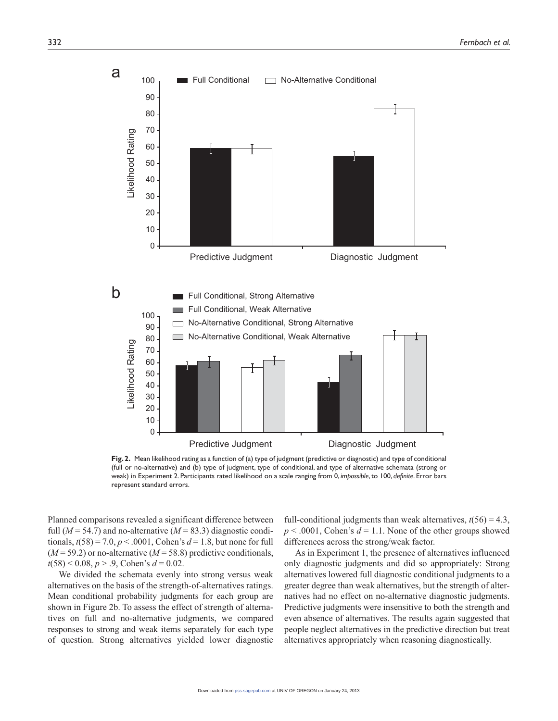

**Fig. 2.** Mean likelihood rating as a function of (a) type of judgment (predictive or diagnostic) and type of conditional (full or no-alternative) and (b) type of judgment, type of conditional, and type of alternative schemata (strong or weak) in Experiment 2. Participants rated likelihood on a scale ranging from 0, *impossible*, to 100, *definite*. Error bars represent standard errors.

Planned comparisons revealed a significant difference between full  $(M = 54.7)$  and no-alternative  $(M = 83.3)$  diagnostic conditionals,  $t(58) = 7.0, p < .0001$ , Cohen's  $d = 1.8$ , but none for full  $(M=59.2)$  or no-alternative  $(M=58.8)$  predictive conditionals, *t*(58) < 0.08, *p* > .9, Cohen's *d* = 0.02.

We divided the schemata evenly into strong versus weak alternatives on the basis of the strength-of-alternatives ratings. Mean conditional probability judgments for each group are shown in Figure 2b. To assess the effect of strength of alternatives on full and no-alternative judgments, we compared responses to strong and weak items separately for each type of question. Strong alternatives yielded lower diagnostic

full-conditional judgments than weak alternatives,  $t(56) = 4.3$ ,  $p < .0001$ , Cohen's  $d = 1.1$ . None of the other groups showed differences across the strong/weak factor.

As in Experiment 1, the presence of alternatives influenced only diagnostic judgments and did so appropriately: Strong alternatives lowered full diagnostic conditional judgments to a greater degree than weak alternatives, but the strength of alternatives had no effect on no-alternative diagnostic judgments. Predictive judgments were insensitive to both the strength and even absence of alternatives. The results again suggested that people neglect alternatives in the predictive direction but treat alternatives appropriately when reasoning diagnostically.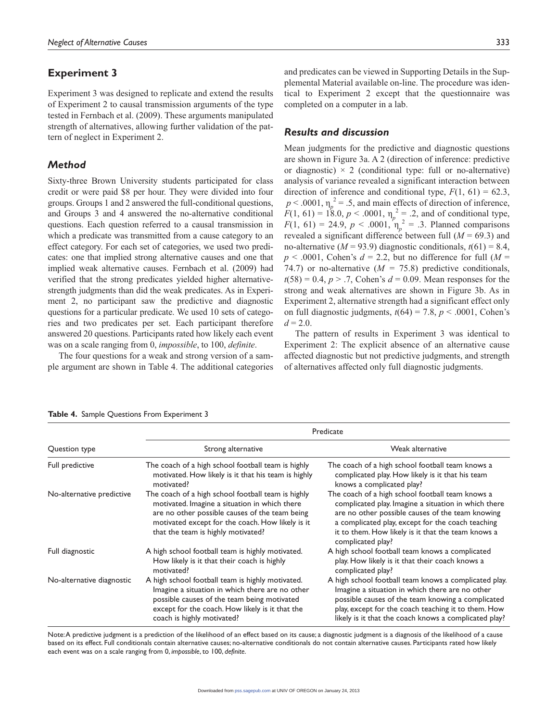# **Experiment 3**

Experiment 3 was designed to replicate and extend the results of Experiment 2 to causal transmission arguments of the type tested in Fernbach et al. (2009). These arguments manipulated strength of alternatives, allowing further validation of the pattern of neglect in Experiment 2.

# *Method*

Sixty-three Brown University students participated for class credit or were paid \$8 per hour. They were divided into four groups. Groups 1 and 2 answered the full-conditional questions, and Groups 3 and 4 answered the no-alternative conditional questions. Each question referred to a causal transmission in which a predicate was transmitted from a cause category to an effect category. For each set of categories, we used two predicates: one that implied strong alternative causes and one that implied weak alternative causes. Fernbach et al. (2009) had verified that the strong predicates yielded higher alternativestrength judgments than did the weak predicates. As in Experiment 2, no participant saw the predictive and diagnostic questions for a particular predicate. We used 10 sets of categories and two predicates per set. Each participant therefore answered 20 questions. Participants rated how likely each event was on a scale ranging from 0, *impossible*, to 100, *definite*.

The four questions for a weak and strong version of a sample argument are shown in Table 4. The additional categories

| ostitu tu i<br>. n., | $\mathbf{1}$ $\mathbf{C}$ |  |
|----------------------|---------------------------|--|

and predicates can be viewed in Supporting Details in the Supplemental Material available on-line. The procedure was identical to Experiment 2 except that the questionnaire was completed on a computer in a lab.

# *Results and discussion*

Mean judgments for the predictive and diagnostic questions are shown in Figure 3a. A 2 (direction of inference: predictive or diagnostic)  $\times$  2 (conditional type: full or no-alternative) analysis of variance revealed a significant interaction between direction of inference and conditional type,  $F(1, 61) = 62.3$ ,  $p < .0001$ ,  $\eta_p^2 = .5$ , and main effects of direction of inference,  $F(1, 61) = 18.0, p < .0001, \eta_p^2 = .2$ , and of conditional type,  $F(1, 61) = 24.9, p < .0001, \eta_p^2 = .3.$  Planned comparisons revealed a significant difference between full  $(M = 69.3)$  and no-alternative ( $M = 93.9$ ) diagnostic conditionals,  $t(61) = 8.4$ ,  $p \leq .0001$ , Cohen's  $d = 2.2$ , but no difference for full  $(M =$ 74.7) or no-alternative  $(M = 75.8)$  predictive conditionals,  $t(58) = 0.4$ ,  $p > .7$ , Cohen's  $d = 0.09$ . Mean responses for the strong and weak alternatives are shown in Figure 3b. As in Experiment 2, alternative strength had a significant effect only on full diagnostic judgments,  $t(64) = 7.8$ ,  $p < .0001$ , Cohen's  $d = 2.0$ .

The pattern of results in Experiment 3 was identical to Experiment 2: The explicit absence of an alternative cause affected diagnostic but not predictive judgments, and strength of alternatives affected only full diagnostic judgments.

|                           | Predicate                                                                                                                                                                                                                                       |                                                                                                                                                                                                                                                                                              |  |  |  |
|---------------------------|-------------------------------------------------------------------------------------------------------------------------------------------------------------------------------------------------------------------------------------------------|----------------------------------------------------------------------------------------------------------------------------------------------------------------------------------------------------------------------------------------------------------------------------------------------|--|--|--|
| Question type             | Strong alternative                                                                                                                                                                                                                              | Weak alternative                                                                                                                                                                                                                                                                             |  |  |  |
| Full predictive           | The coach of a high school football team is highly<br>motivated. How likely is it that his team is highly<br>motivated?                                                                                                                         | The coach of a high school football team knows a<br>complicated play. How likely is it that his team<br>knows a complicated play?                                                                                                                                                            |  |  |  |
| No-alternative predictive | The coach of a high school football team is highly<br>motivated. Imagine a situation in which there<br>are no other possible causes of the team being<br>motivated except for the coach. How likely is it<br>that the team is highly motivated? | The coach of a high school football team knows a<br>complicated play. Imagine a situation in which there<br>are no other possible causes of the team knowing<br>a complicated play, except for the coach teaching<br>it to them. How likely is it that the team knows a<br>complicated play? |  |  |  |
| Full diagnostic           | A high school football team is highly motivated.<br>How likely is it that their coach is highly<br>motivated?                                                                                                                                   | A high school football team knows a complicated<br>play. How likely is it that their coach knows a<br>complicated play?                                                                                                                                                                      |  |  |  |
| No-alternative diagnostic | A high school football team is highly motivated.<br>Imagine a situation in which there are no other<br>possible causes of the team being motivated<br>except for the coach. How likely is it that the<br>coach is highly motivated?             | A high school football team knows a complicated play.<br>Imagine a situation in which there are no other<br>possible causes of the team knowing a complicated<br>play, except for the coach teaching it to them. How<br>likely is it that the coach knows a complicated play?                |  |  |  |

**Table 4.** Sample Questions From Experiment 3

Note: A predictive judgment is a prediction of the likelihood of an effect based on its cause; a diagnostic judgment is a diagnosis of the likelihood of a cause based on its effect. Full conditionals contain alternative causes; no-alternative conditionals do not contain alternative causes. Participants rated how likely each event was on a scale ranging from 0, *impossible*, to 100, *definite*.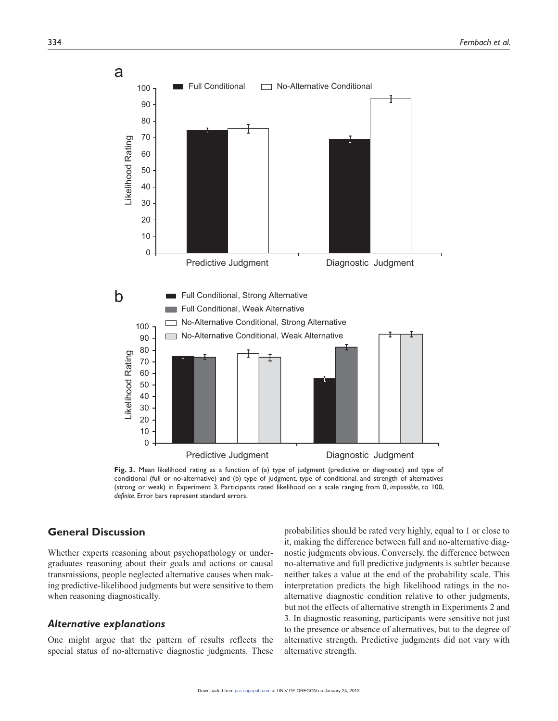

**Fig. 3.** Mean likelihood rating as a function of (a) type of judgment (predictive or diagnostic) and type of conditional (full or no-alternative) and (b) type of judgment, type of conditional, and strength of alternatives (strong or weak) in Experiment 3. Participants rated likelihood on a scale ranging from 0, *impossible*, to 100, *definite*. Error bars represent standard errors.

# **General Discussion**

Whether experts reasoning about psychopathology or undergraduates reasoning about their goals and actions or causal transmissions, people neglected alternative causes when making predictive-likelihood judgments but were sensitive to them when reasoning diagnostically.

#### *Alternative explanations*

One might argue that the pattern of results reflects the special status of no-alternative diagnostic judgments. These

probabilities should be rated very highly, equal to 1 or close to it, making the difference between full and no-alternative diagnostic judgments obvious. Conversely, the difference between no-alternative and full predictive judgments is subtler because neither takes a value at the end of the probability scale. This interpretation predicts the high likelihood ratings in the noalternative diagnostic condition relative to other judgments, but not the effects of alternative strength in Experiments 2 and 3. In diagnostic reasoning, participants were sensitive not just to the presence or absence of alternatives, but to the degree of alternative strength. Predictive judgments did not vary with alternative strength.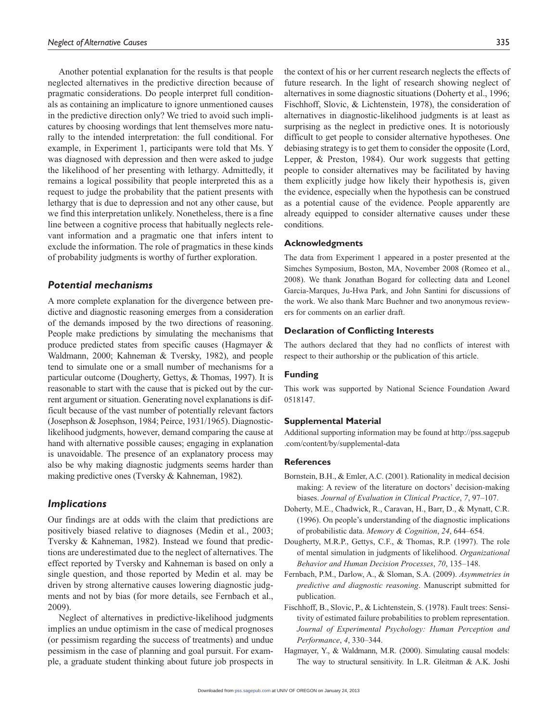Another potential explanation for the results is that people neglected alternatives in the predictive direction because of pragmatic considerations. Do people interpret full conditionals as containing an implicature to ignore unmentioned causes in the predictive direction only? We tried to avoid such implicatures by choosing wordings that lent themselves more naturally to the intended interpretation: the full conditional. For example, in Experiment 1, participants were told that Ms. Y was diagnosed with depression and then were asked to judge the likelihood of her presenting with lethargy. Admittedly, it remains a logical possibility that people interpreted this as a request to judge the probability that the patient presents with lethargy that is due to depression and not any other cause, but we find this interpretation unlikely. Nonetheless, there is a fine line between a cognitive process that habitually neglects relevant information and a pragmatic one that infers intent to exclude the information. The role of pragmatics in these kinds of probability judgments is worthy of further exploration.

## *Potential mechanisms*

A more complete explanation for the divergence between predictive and diagnostic reasoning emerges from a consideration of the demands imposed by the two directions of reasoning. People make predictions by simulating the mechanisms that produce predicted states from specific causes (Hagmayer & Waldmann, 2000; Kahneman & Tversky, 1982), and people tend to simulate one or a small number of mechanisms for a particular outcome (Dougherty, Gettys, & Thomas, 1997). It is reasonable to start with the cause that is picked out by the current argument or situation. Generating novel explanations is difficult because of the vast number of potentially relevant factors (Josephson & Josephson, 1984; Peirce, 1931/1965). Diagnosticlikelihood judgments, however, demand comparing the cause at hand with alternative possible causes; engaging in explanation is unavoidable. The presence of an explanatory process may also be why making diagnostic judgments seems harder than making predictive ones (Tversky & Kahneman, 1982).

#### *Implications*

Our findings are at odds with the claim that predictions are positively biased relative to diagnoses (Medin et al., 2003; Tversky & Kahneman, 1982). Instead we found that predictions are underestimated due to the neglect of alternatives. The effect reported by Tversky and Kahneman is based on only a single question, and those reported by Medin et al. may be driven by strong alternative causes lowering diagnostic judgments and not by bias (for more details, see Fernbach et al., 2009).

Neglect of alternatives in predictive-likelihood judgments implies an undue optimism in the case of medical prognoses (or pessimism regarding the success of treatments) and undue pessimism in the case of planning and goal pursuit. For example, a graduate student thinking about future job prospects in the context of his or her current research neglects the effects of future research. In the light of research showing neglect of alternatives in some diagnostic situations (Doherty et al., 1996; Fischhoff, Slovic, & Lichtenstein, 1978), the consideration of alternatives in diagnostic-likelihood judgments is at least as surprising as the neglect in predictive ones. It is notoriously difficult to get people to consider alternative hypotheses. One debiasing strategy is to get them to consider the opposite (Lord, Lepper, & Preston, 1984). Our work suggests that getting people to consider alternatives may be facilitated by having them explicitly judge how likely their hypothesis is, given the evidence, especially when the hypothesis can be construed as a potential cause of the evidence. People apparently are already equipped to consider alternative causes under these conditions.

#### **Acknowledgments**

The data from Experiment 1 appeared in a poster presented at the Simches Symposium, Boston, MA, November 2008 (Romeo et al., 2008). We thank Jonathan Bogard for collecting data and Leonel Garcia-Marques, Ju-Hwa Park, and John Santini for discussions of the work. We also thank Marc Buehner and two anonymous reviewers for comments on an earlier draft.

#### **Declaration of Conflicting Interests**

The authors declared that they had no conflicts of interest with respect to their authorship or the publication of this article.

#### **Funding**

This work was supported by National Science Foundation Award 0518147.

#### **Supplemental Material**

Additional supporting information may be found at http://pss.sagepub .com/content/by/supplemental-data

#### **References**

- Bornstein, B.H., & Emler, A.C. (2001). Rationality in medical decision making: A review of the literature on doctors' decision-making biases. *Journal of Evaluation in Clinical Practice*, *7*, 97–107.
- Doherty, M.E., Chadwick, R., Caravan, H., Barr, D., & Mynatt, C.R. (1996). On people's understanding of the diagnostic implications of probabilistic data. *Memory & Cognition*, *24*, 644–654.
- Dougherty, M.R.P., Gettys, C.F., & Thomas, R.P. (1997). The role of mental simulation in judgments of likelihood. *Organizational Behavior and Human Decision Processes*, *70*, 135–148.
- Fernbach, P.M., Darlow, A., & Sloman, S.A. (2009). *Asymmetries in predictive and diagnostic reasoning*. Manuscript submitted for publication.
- Fischhoff, B., Slovic, P., & Lichtenstein, S. (1978). Fault trees: Sensitivity of estimated failure probabilities to problem representation. *Journal of Experimental Psychology: Human Perception and Performance*, *4*, 330–344.
- Hagmayer, Y., & Waldmann, M.R. (2000). Simulating causal models: The way to structural sensitivity. In L.R. Gleitman & A.K. Joshi